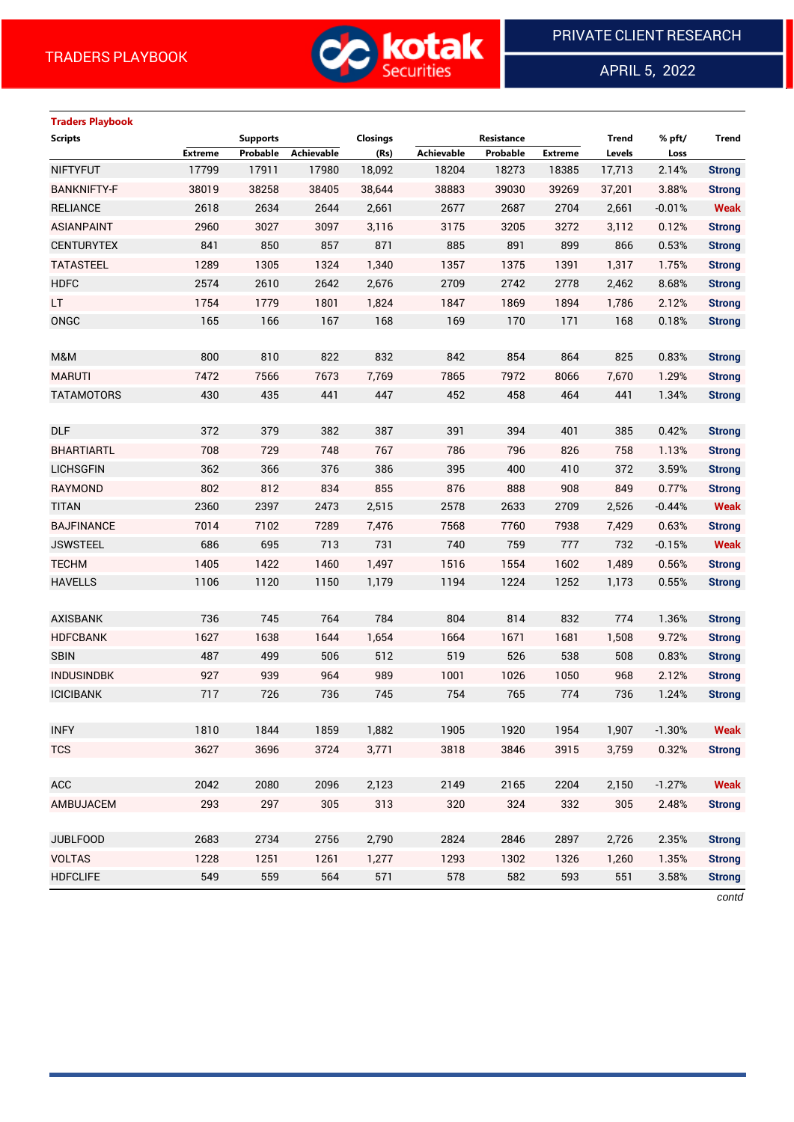

APRIL 5, 2022

 $\overline{a}$ 

| <b>Traders Playbook</b> | <b>Supports</b> |          |                   | Closings | Resistance        |          |                | <b>Trend</b> | % pft/   | Trend         |
|-------------------------|-----------------|----------|-------------------|----------|-------------------|----------|----------------|--------------|----------|---------------|
| <b>Scripts</b>          |                 |          |                   |          |                   |          |                |              |          |               |
| <b>NIFTYFUT</b>         | <b>Extreme</b>  | Probable | <b>Achievable</b> | (Rs)     | <b>Achievable</b> | Probable | <b>Extreme</b> | Levels       | Loss     |               |
|                         | 17799           | 17911    | 17980             | 18,092   | 18204             | 18273    | 18385          | 17,713       | 2.14%    | <b>Strong</b> |
| <b>BANKNIFTY-F</b>      | 38019           | 38258    | 38405             | 38,644   | 38883             | 39030    | 39269          | 37,201       | 3.88%    | <b>Strong</b> |
| <b>RELIANCE</b>         | 2618            | 2634     | 2644              | 2,661    | 2677              | 2687     | 2704           | 2,661        | $-0.01%$ | <b>Weak</b>   |
| <b>ASIANPAINT</b>       | 2960            | 3027     | 3097              | 3,116    | 3175              | 3205     | 3272           | 3,112        | 0.12%    | <b>Strong</b> |
| <b>CENTURYTEX</b>       | 841             | 850      | 857               | 871      | 885               | 891      | 899            | 866          | 0.53%    | <b>Strong</b> |
| <b>TATASTEEL</b>        | 1289            | 1305     | 1324              | 1,340    | 1357              | 1375     | 1391           | 1,317        | 1.75%    | <b>Strong</b> |
| <b>HDFC</b>             | 2574            | 2610     | 2642              | 2,676    | 2709              | 2742     | 2778           | 2,462        | 8.68%    | <b>Strong</b> |
| LT.                     | 1754            | 1779     | 1801              | 1,824    | 1847              | 1869     | 1894           | 1,786        | 2.12%    | <b>Strong</b> |
| ONGC                    | 165             | 166      | 167               | 168      | 169               | 170      | 171            | 168          | 0.18%    | <b>Strong</b> |
| M&M                     | 800             | 810      | 822               | 832      | 842               | 854      | 864            | 825          | 0.83%    | <b>Strong</b> |
| <b>MARUTI</b>           | 7472            | 7566     | 7673              | 7,769    | 7865              | 7972     | 8066           | 7,670        | 1.29%    | <b>Strong</b> |
| <b>TATAMOTORS</b>       | 430             | 435      | 441               | 447      | 452               | 458      | 464            | 441          | 1.34%    | <b>Strong</b> |
|                         |                 |          |                   |          |                   |          |                |              |          |               |
| <b>DLF</b>              | 372             | 379      | 382               | 387      | 391               | 394      | 401            | 385          | 0.42%    | <b>Strong</b> |
| <b>BHARTIARTL</b>       | 708             | 729      | 748               | 767      | 786               | 796      | 826            | 758          | 1.13%    | <b>Strong</b> |
| <b>LICHSGFIN</b>        | 362             | 366      | 376               | 386      | 395               | 400      | 410            | 372          | 3.59%    | <b>Strong</b> |
| <b>RAYMOND</b>          | 802             | 812      | 834               | 855      | 876               | 888      | 908            | 849          | 0.77%    | <b>Strong</b> |
| <b>TITAN</b>            | 2360            | 2397     | 2473              | 2,515    | 2578              | 2633     | 2709           | 2,526        | $-0.44%$ | <b>Weak</b>   |
| <b>BAJFINANCE</b>       | 7014            | 7102     | 7289              | 7,476    | 7568              | 7760     | 7938           | 7,429        | 0.63%    | <b>Strong</b> |
| <b>JSWSTEEL</b>         | 686             | 695      | 713               | 731      | 740               | 759      | 777            | 732          | $-0.15%$ | <b>Weak</b>   |
| <b>TECHM</b>            | 1405            | 1422     | 1460              | 1,497    | 1516              | 1554     | 1602           | 1,489        | 0.56%    | <b>Strong</b> |
| <b>HAVELLS</b>          | 1106            | 1120     | 1150              | 1,179    | 1194              | 1224     | 1252           | 1,173        | 0.55%    | <b>Strong</b> |
|                         |                 |          |                   |          |                   |          |                |              |          |               |
| <b>AXISBANK</b>         | 736             | 745      | 764               | 784      | 804               | 814      | 832            | 774          | 1.36%    | <b>Strong</b> |
| <b>HDFCBANK</b>         | 1627            | 1638     | 1644              | 1,654    | 1664              | 1671     | 1681           | 1,508        | 9.72%    | <b>Strong</b> |
| <b>SBIN</b>             | 487             | 499      | 506               | 512      | 519               | 526      | 538            | 508          | 0.83%    | <b>Strong</b> |
| <b>INDUSINDBK</b>       | 927             | 939      | 964               | 989      | 1001              | 1026     | 1050           | 968          | 2.12%    | <b>Strong</b> |
| <b>ICICIBANK</b>        | 717             | 726      | 736               | 745      | 754               | 765      | 774            | 736          | 1.24%    | <b>Strong</b> |
|                         |                 |          |                   |          |                   |          |                |              |          |               |
| <b>INFY</b>             | 1810            | 1844     | 1859              | 1,882    | 1905              | 1920     | 1954           | 1,907        | $-1.30%$ | <b>Weak</b>   |
| <b>TCS</b>              | 3627            | 3696     | 3724              | 3,771    | 3818              | 3846     | 3915           | 3,759        | 0.32%    | <b>Strong</b> |
|                         |                 |          |                   |          |                   |          |                |              |          |               |
| ACC                     | 2042            | 2080     | 2096              | 2,123    | 2149              | 2165     | 2204           | 2,150        | $-1.27%$ | <b>Weak</b>   |
| AMBUJACEM               | 293             | 297      | 305               | 313      | 320               | 324      | 332            | 305          | 2.48%    | <b>Strong</b> |
|                         |                 |          |                   |          |                   |          |                |              |          |               |
| <b>JUBLFOOD</b>         | 2683            | 2734     | 2756              | 2,790    | 2824              | 2846     | 2897           | 2,726        | 2.35%    | <b>Strong</b> |
| <b>VOLTAS</b>           | 1228            | 1251     | 1261              | 1,277    | 1293              | 1302     | 1326           | 1,260        | 1.35%    | <b>Strong</b> |
| <b>HDFCLIFE</b>         | 549             | 559      | 564               | 571      | 578               | 582      | 593            | 551          | 3.58%    | <b>Strong</b> |

*contd*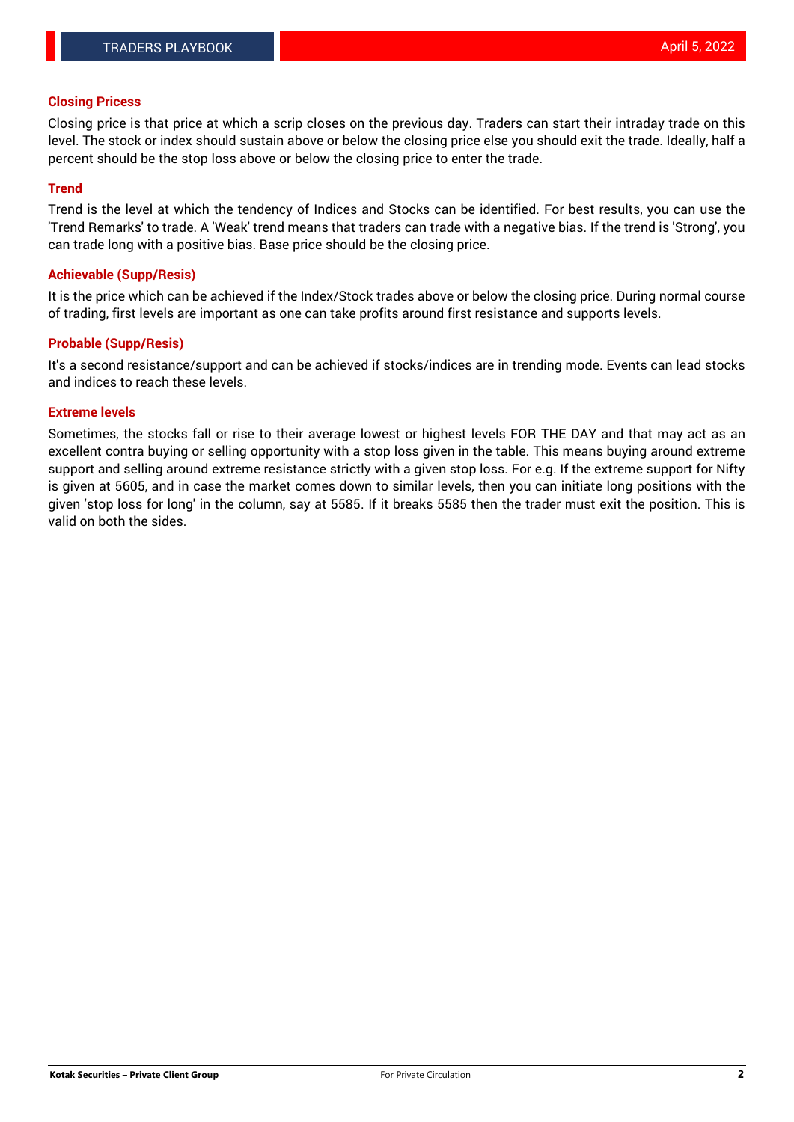### **Closing Pricess**

Closing price is that price at which a scrip closes on the previous day. Traders can start their intraday trade on this level. The stock or index should sustain above or below the closing price else you should exit the trade. Ideally, half a percent should be the stop loss above or below the closing price to enter the trade.

### **Trend**

Trend is the level at which the tendency of Indices and Stocks can be identified. For best results, you can use the 'Trend Remarks' to trade. A 'Weak' trend means that traders can trade with a negative bias. If the trend is 'Strong', you can trade long with a positive bias. Base price should be the closing price.

#### **Achievable (Supp/Resis)**

It is the price which can be achieved if the Index/Stock trades above or below the closing price. During normal course of trading, first levels are important as one can take profits around first resistance and supports levels.

### **Probable (Supp/Resis)**

It's a second resistance/support and can be achieved if stocks/indices are in trending mode. Events can lead stocks and indices to reach these levels.

### **Extreme levels**

Sometimes, the stocks fall or rise to their average lowest or highest levels FOR THE DAY and that may act as an excellent contra buying or selling opportunity with a stop loss given in the table. This means buying around extreme support and selling around extreme resistance strictly with a given stop loss. For e.g. If the extreme support for Nifty is given at 5605, and in case the market comes down to similar levels, then you can initiate long positions with the given 'stop loss for long' in the column, say at 5585. If it breaks 5585 then the trader must exit the position. This is valid on both the sides.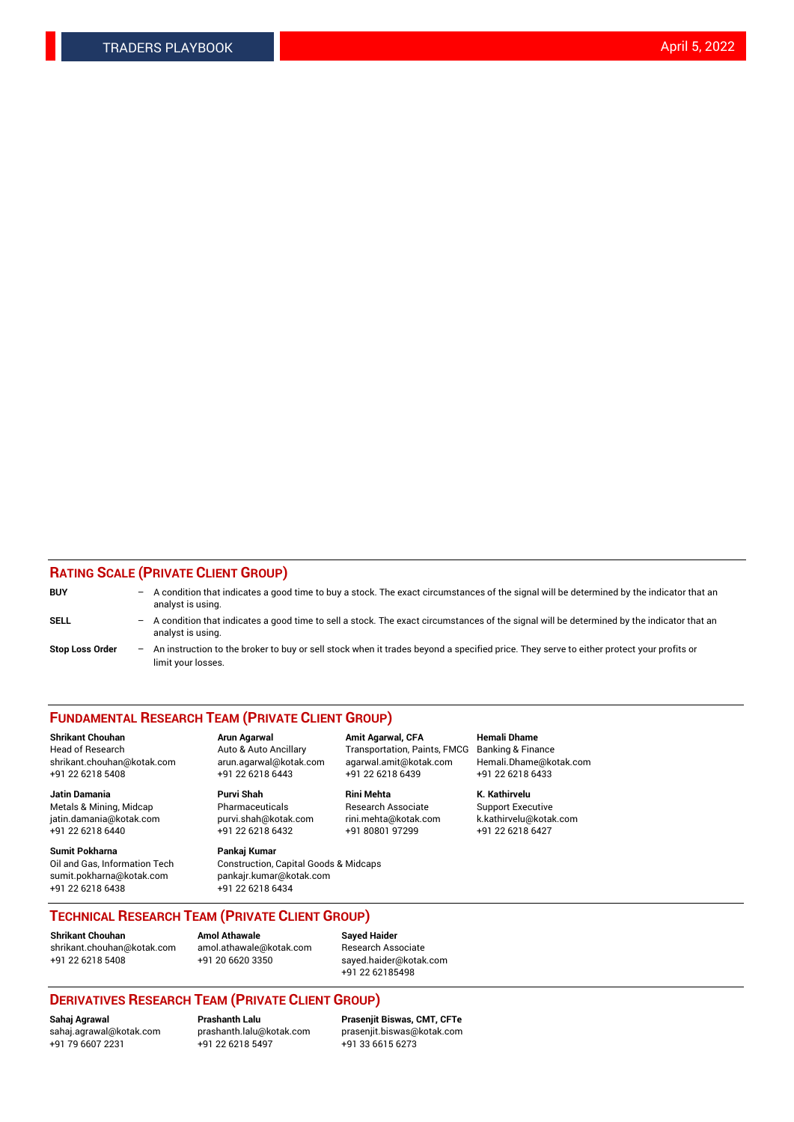### **RATING SCALE (PRIVATE CLIENT GROUP)**

| <b>BUY</b>             | -   | A condition that indicates a good time to buy a stock. The exact circumstances of the signal will be determined by the indicator that an<br>analyst is using.  |
|------------------------|-----|----------------------------------------------------------------------------------------------------------------------------------------------------------------|
| <b>SELL</b>            | -   | A condition that indicates a good time to sell a stock. The exact circumstances of the signal will be determined by the indicator that an<br>analyst is using. |
| <b>Stop Loss Order</b> | $-$ | An instruction to the broker to buy or sell stock when it trades beyond a specified price. They serve to either protect your profits or<br>limit your losses.  |

#### **FUNDAMENTAL RESEARCH TEAM (PRIVATE CLIENT GROUP)**

**Shrikant Chouhan Arun Agarwal Amit Agarwal, CFA Hemali Dhame** Head of Research Auto & Auto Ancillary Transportation, Paints, FMCG Banking & Finance shrikant.chouhan@kotak.com arun.agarwal@kotak.com agarwal.amit@kotak.com Hemali.Dhame@kotak.com

**Jatin Damania Purvi Shah Rini Mehta K. Kathirvelu** Metals & Mining, Midcap **Pharmaceuticals** Research Associate Support Executive jatin.damania@kotak.com [purvi.shah@kotak.com](mailto:purvi.shah@kotak.com) rini.mehta@kotak.com [k.kathirvelu@kotak.com](mailto:k.kathirvelu@kotak.com)  $+91$  22 6218 6440  $+91$  22 6218 6432

**Sumit Pokharna Pankaj Kumar** sumit.pokharna@kotak.com pankajr.kumar@kotak.com +91 22 6218 6438 +91 22 6218 6434

Oil and Gas, Information Tech Construction, Capital Goods & Midcaps

+91 22 6218 5408 +91 22 6218 6443 +91 22 6218 6439 +91 22 6218 6433

**TECHNICAL RESEARCH TEAM (PRIVATE CLIENT GROUP)**

[shrikant.chouhan@kotak.com](mailto:shrikant.chouhan@kotak.com) [amol.athawale@kotak.com](mailto:amol.athawale@kotak.com) Research Associate +91 22 6218 5408 +91 20 6620 3350 [sayed.haider@kotak.com](mailto:sayed.haider@kotak.com)

**Shrikant Chouhan Amol Athawale Sayed Haider**

+91 22 62185498

# **DERIVATIVES RESEARCH TEAM (PRIVATE CLIENT GROUP)**

 $+91$  22 6218 5497

**Sahaj Agrawal Prashanth Lalu Prasenjit Biswas, CMT, CFTe** [sahaj.agrawal@kotak.com](mailto:sahaj.agrawal@kotak.com) [prashanth.lalu@kotak.com](mailto:prashanth.lalu@kotak.com) [prasenjit.biswas@kotak.com](mailto:prasenjit.biswas@kotak.com)